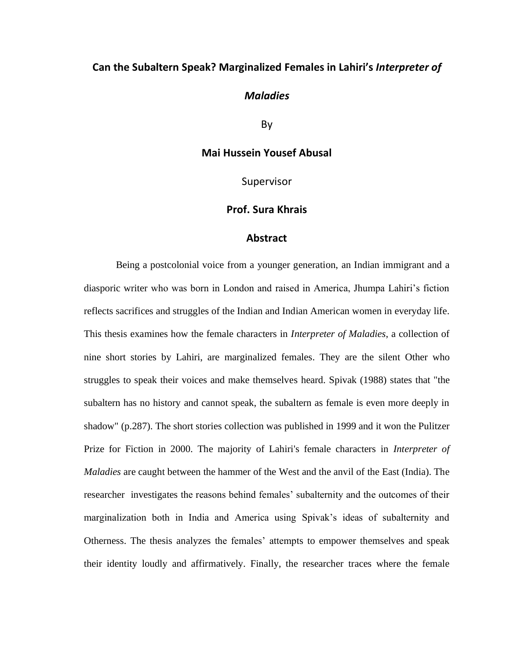# **Can the Subaltern Speak? Marginalized Females in Lahiri's** *Interpreter of*

# *Maladies*

By

# **Mai Hussein Yousef Abusal**

Supervisor

# **Prof. Sura Khrais**

# **Abstract**

Being a postcolonial voice from a younger generation, an Indian immigrant and a diasporic writer who was born in London and raised in America, Jhumpa Lahiri's fiction reflects sacrifices and struggles of the Indian and Indian American women in everyday life. This thesis examines how the female characters in *Interpreter of Maladies*, a collection of nine short stories by Lahiri, are marginalized females. They are the silent Other who struggles to speak their voices and make themselves heard. Spivak (1988) states that "the subaltern has no history and cannot speak, the subaltern as female is even more deeply in shadow" (p.287). The short stories collection was published in 1999 and it won the Pulitzer Prize for Fiction in 2000. The majority of Lahiri's female characters in *Interpreter of Maladies* are caught between the hammer of the West and the anvil of the East (India). The researcher investigates the reasons behind females' subalternity and the outcomes of their marginalization both in India and America using Spivak's ideas of subalternity and Otherness. The thesis analyzes the females' attempts to empower themselves and speak their identity loudly and affirmatively. Finally, the researcher traces where the female